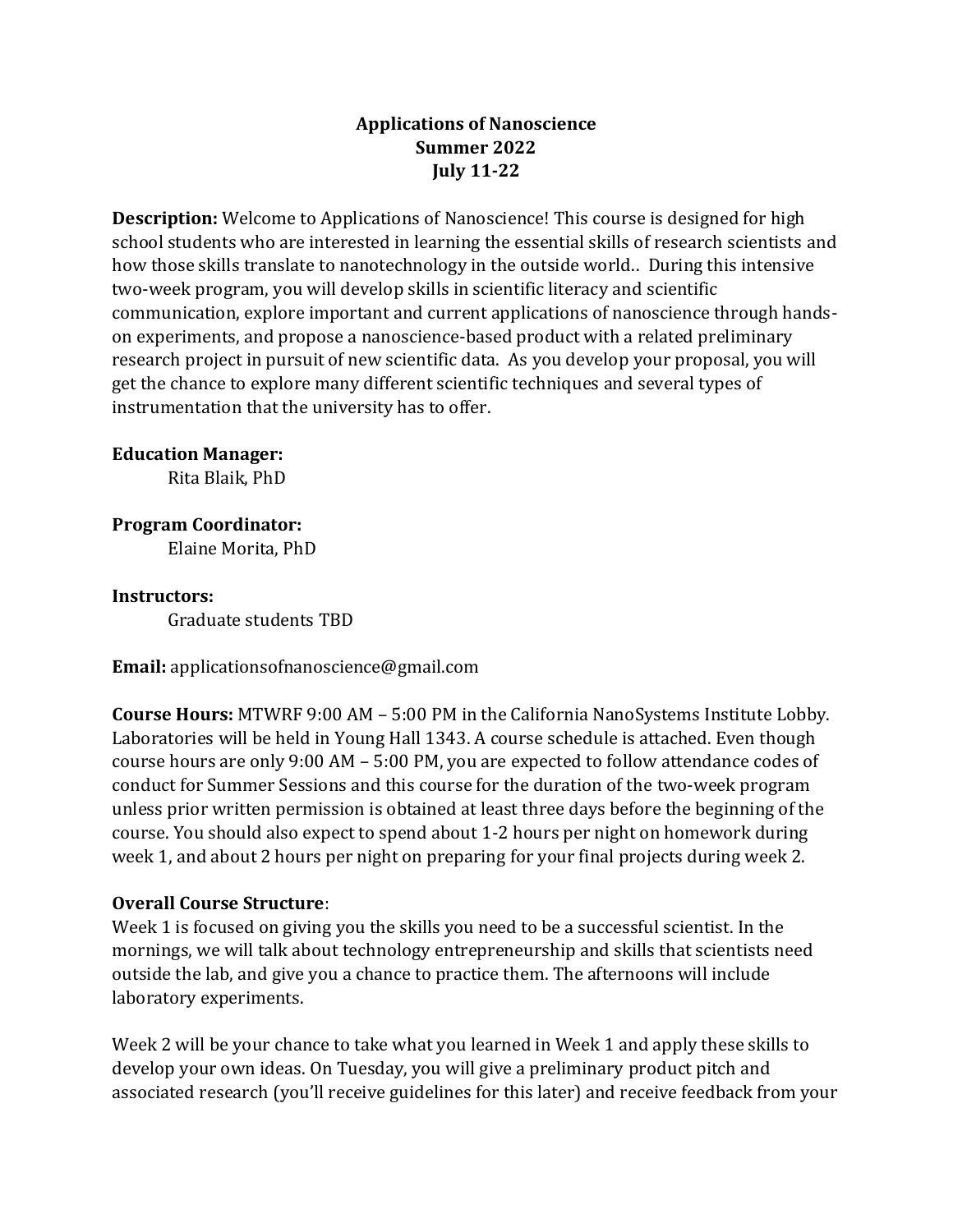# **Applications of Nanoscience Summer 2022 July 11-22**

**Description:** Welcome to Applications of Nanoscience! This course is designed for high school students who are interested in learning the essential skills of research scientists and how those skills translate to nanotechnology in the outside world.. During this intensive two-week program, you will develop skills in scientific literacy and scientific communication, explore important and current applications of nanoscience through handson experiments, and propose a nanoscience-based product with a related preliminary research project in pursuit of new scientific data. As you develop your proposal, you will get the chance to explore many different scientific techniques and several types of instrumentation that the university has to offer.

## **Education Manager:**

Rita Blaik, PhD

## **Program Coordinator:**

Elaine Morita, PhD

#### **Instructors:**

Graduate students TBD

**Email:** applicationsofnanoscience@gmail.com

**Course Hours:** MTWRF 9:00 AM – 5:00 PM in the California NanoSystems Institute Lobby. Laboratories will be held in Young Hall 1343. A course schedule is attached. Even though course hours are only 9:00 AM – 5:00 PM, you are expected to follow attendance codes of conduct for Summer Sessions and this course for the duration of the two-week program unless prior written permission is obtained at least three days before the beginning of the course. You should also expect to spend about 1-2 hours per night on homework during week 1, and about 2 hours per night on preparing for your final projects during week 2.

## **Overall Course Structure**:

Week 1 is focused on giving you the skills you need to be a successful scientist. In the mornings, we will talk about technology entrepreneurship and skills that scientists need outside the lab, and give you a chance to practice them. The afternoons will include laboratory experiments.

Week 2 will be your chance to take what you learned in Week 1 and apply these skills to develop your own ideas. On Tuesday, you will give a preliminary product pitch and associated research (you'll receive guidelines for this later) and receive feedback from your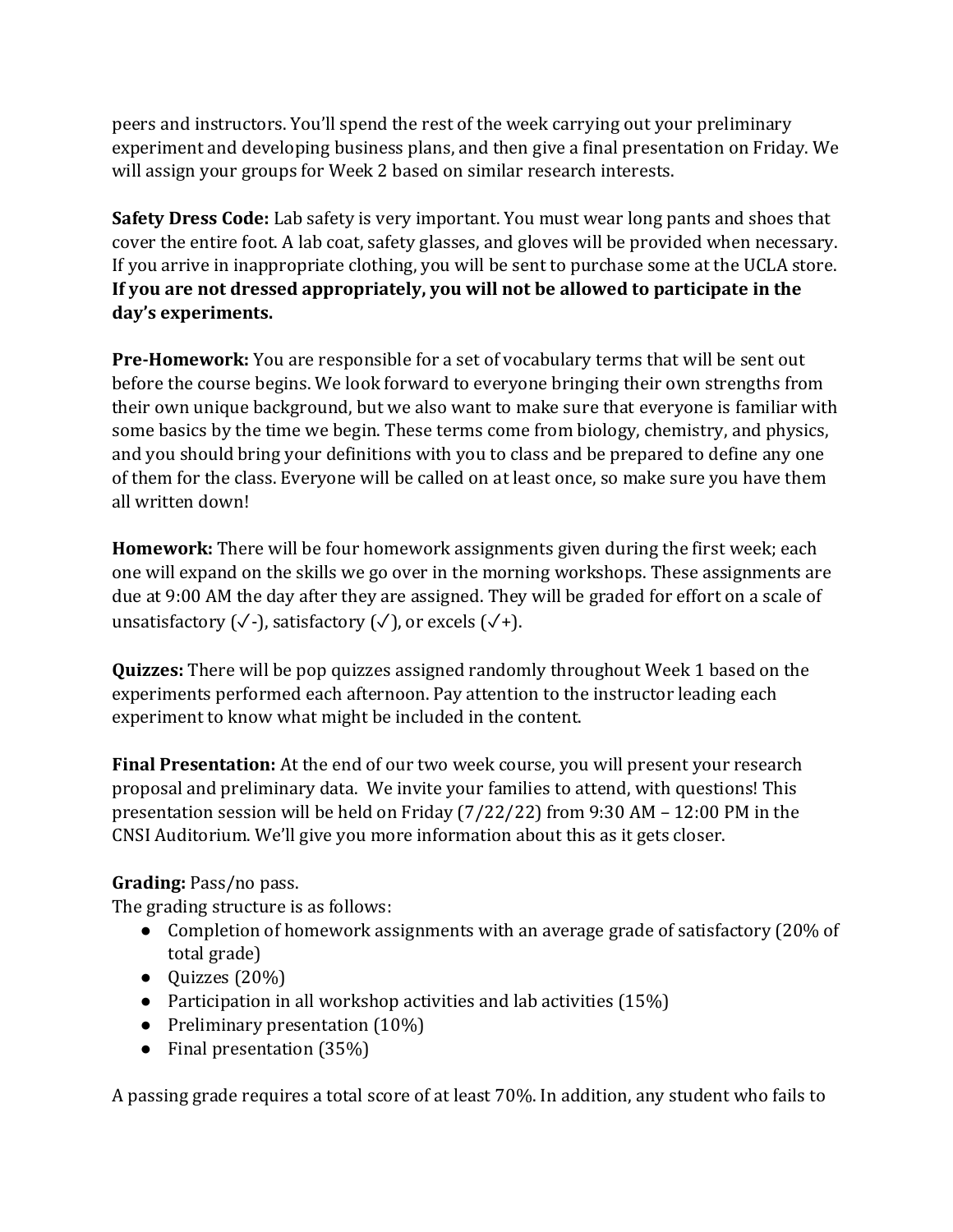peers and instructors. You'll spend the rest of the week carrying out your preliminary experiment and developing business plans, and then give a final presentation on Friday. We will assign your groups for Week 2 based on similar research interests.

**Safety Dress Code:** Lab safety is very important. You must wear long pants and shoes that cover the entire foot. A lab coat, safety glasses, and gloves will be provided when necessary. If you arrive in inappropriate clothing, you will be sent to purchase some at the UCLA store. **If you are not dressed appropriately, you will not be allowed to participate in the day's experiments.**

**Pre-Homework:** You are responsible for a set of vocabulary terms that will be sent out before the course begins. We look forward to everyone bringing their own strengths from their own unique background, but we also want to make sure that everyone is familiar with some basics by the time we begin. These terms come from biology, chemistry, and physics, and you should bring your definitions with you to class and be prepared to define any one of them for the class. Everyone will be called on at least once, so make sure you have them all written down!

**Homework:** There will be four homework assignments given during the first week; each one will expand on the skills we go over in the morning workshops. These assignments are due at 9:00 AM the day after they are assigned. They will be graded for effort on a scale of unsatisfactory  $(\sqrt{\cdot})$ , satisfactory  $(\sqrt{\cdot})$ , or excels  $(\sqrt{\cdot})$ .

**Quizzes:** There will be pop quizzes assigned randomly throughout Week 1 based on the experiments performed each afternoon. Pay attention to the instructor leading each experiment to know what might be included in the content.

**Final Presentation:** At the end of our two week course, you will present your research proposal and preliminary data. We invite your families to attend, with questions! This presentation session will be held on Friday (7/22/22) from 9:30 AM – 12:00 PM in the CNSI Auditorium. We'll give you more information about this as it gets closer.

# **Grading:** Pass/no pass.

The grading structure is as follows:

- Completion of homework assignments with an average grade of satisfactory (20% of total grade)
- $\bullet$  Quizzes (20%)
- Participation in all workshop activities and lab activities  $(15%)$
- Preliminary presentation (10%)
- Final presentation (35%)

A passing grade requires a total score of at least 70%. In addition, any student who fails to